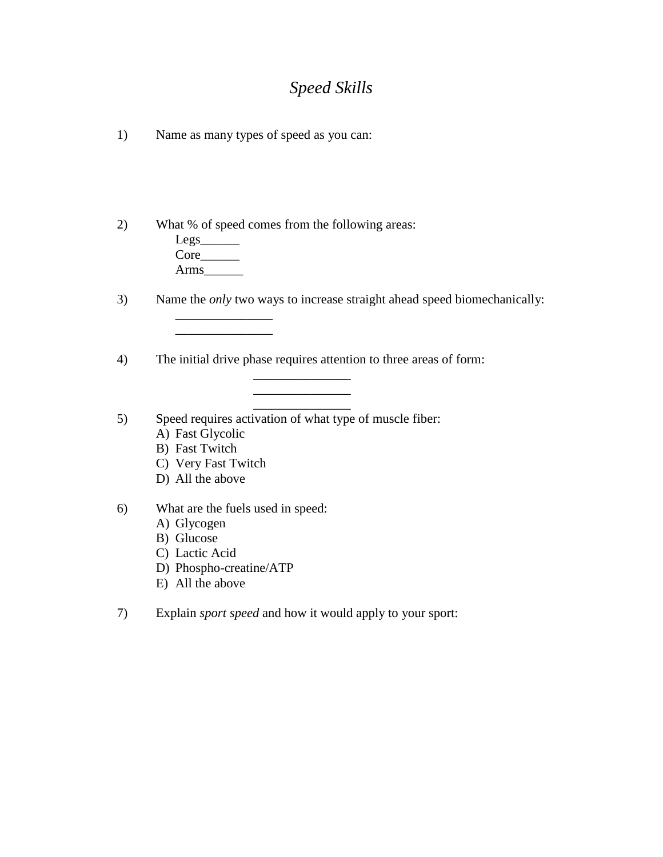## *Speed Skills*

1) Name as many types of speed as you can:

2) What % of speed comes from the following areas:

 $Legs$ <sub>\_\_\_\_\_\_\_\_\_\_</sub> Core\_\_\_\_\_\_\_ Arms\_\_\_\_\_\_

\_\_\_\_\_\_\_\_\_\_\_\_\_\_\_ \_\_\_\_\_\_\_\_\_\_\_\_\_\_\_

3) Name the *only* two ways to increase straight ahead speed biomechanically:

4) The initial drive phase requires attention to three areas of form: \_\_\_\_\_\_\_\_\_\_\_\_\_\_\_

> \_\_\_\_\_\_\_\_\_\_\_\_\_\_\_ \_\_\_\_\_\_\_\_\_\_\_\_\_\_\_

5) Speed requires activation of what type of muscle fiber:

- A) Fast Glycolic
- B) Fast Twitch
- C) Very Fast Twitch
- D) All the above
- 6) What are the fuels used in speed:
	- A) Glycogen
	- B) Glucose
	- C) Lactic Acid
	- D) Phospho-creatine/ATP
	- E) All the above

7) Explain *sport speed* and how it would apply to your sport: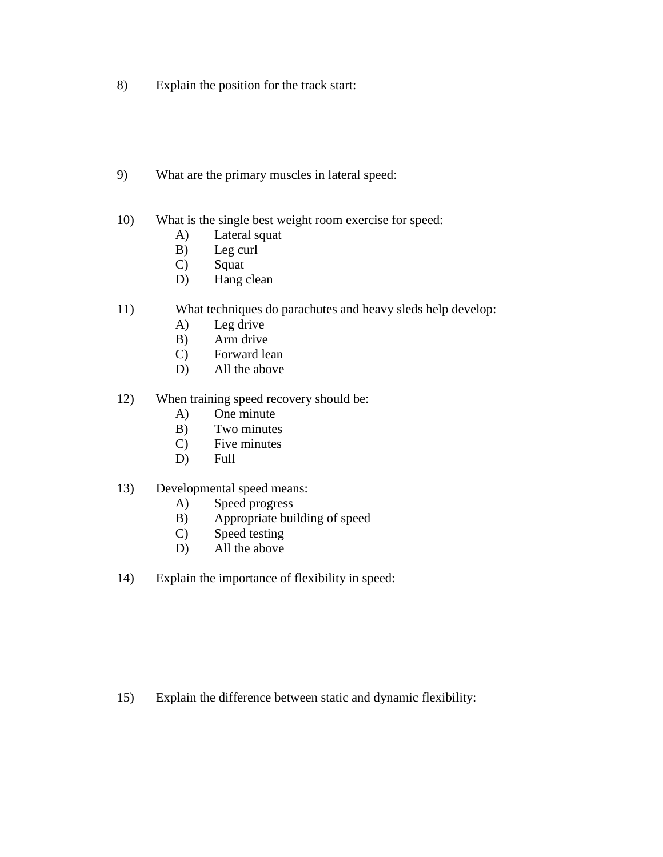- 8) Explain the position for the track start:
- 9) What are the primary muscles in lateral speed:
- 10) What is the single best weight room exercise for speed:
	- A) Lateral squat
	- B) Leg curl
	- C) Squat
	- D) Hang clean
- 11) What techniques do parachutes and heavy sleds help develop:
	- A) Leg drive
	- B) Arm drive
	- C) Forward lean
	- D) All the above
- 12) When training speed recovery should be:
	- A) One minute
	- B) Two minutes
	- C) Five minutes
	- D) Full
- 13) Developmental speed means:
	- A) Speed progress
	- B) Appropriate building of speed
	- C) Speed testing
	- D) All the above
- 14) Explain the importance of flexibility in speed:

15) Explain the difference between static and dynamic flexibility: